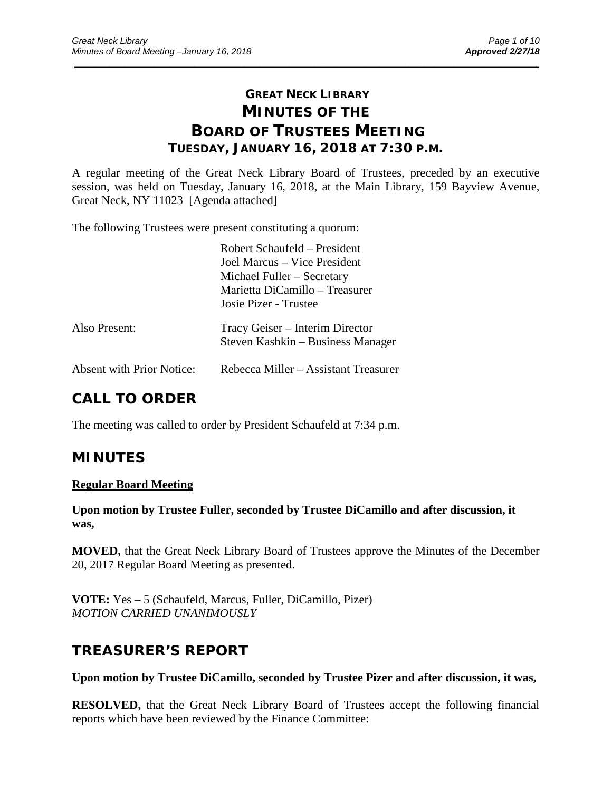# **GREAT NECK LIBRARY MINUTES OF THE BOARD OF TRUSTEES MEETING TUESDAY, JANUARY 16, 2018 AT 7:30 P.M.**

\_\_\_\_\_\_\_\_\_\_\_\_\_\_\_\_\_\_\_\_\_\_\_\_\_\_\_\_\_\_\_\_\_\_\_\_\_\_\_\_\_\_\_\_\_\_\_\_\_\_\_\_\_\_\_\_\_\_\_\_\_\_\_\_\_\_\_\_\_\_\_\_\_\_\_\_\_\_\_\_\_\_\_\_\_\_\_\_\_\_\_\_\_

A regular meeting of the Great Neck Library Board of Trustees, preceded by an executive session, was held on Tuesday, January 16, 2018, at the Main Library, 159 Bayview Avenue, Great Neck, NY 11023 [Agenda attached]

The following Trustees were present constituting a quorum:

|                                  | Robert Schaufeld – President<br>Joel Marcus – Vice President<br>Michael Fuller – Secretary<br>Marietta DiCamillo - Treasurer<br>Josie Pizer - Trustee |
|----------------------------------|-------------------------------------------------------------------------------------------------------------------------------------------------------|
| Also Present:                    | Tracy Geiser – Interim Director<br>Steven Kashkin – Business Manager                                                                                  |
| <b>Absent with Prior Notice:</b> | Rebecca Miller - Assistant Treasurer                                                                                                                  |

# **CALL TO ORDER**

The meeting was called to order by President Schaufeld at 7:34 p.m.

# **MINUTES**

#### **Regular Board Meeting**

**Upon motion by Trustee Fuller, seconded by Trustee DiCamillo and after discussion, it was,**

**MOVED,** that the Great Neck Library Board of Trustees approve the Minutes of the December 20, 2017 Regular Board Meeting as presented.

**VOTE:** Yes – 5 (Schaufeld, Marcus, Fuller, DiCamillo, Pizer) *MOTION CARRIED UNANIMOUSLY*

## **TREASURER'S REPORT**

**Upon motion by Trustee DiCamillo, seconded by Trustee Pizer and after discussion, it was,**

**RESOLVED,** that the Great Neck Library Board of Trustees accept the following financial reports which have been reviewed by the Finance Committee: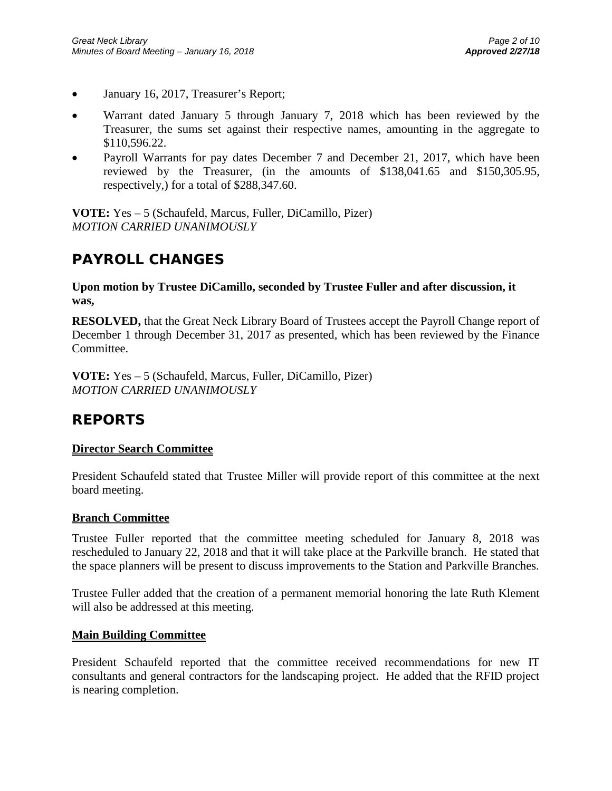- January 16, 2017, Treasurer's Report;
- Warrant dated January 5 through January 7, 2018 which has been reviewed by the Treasurer, the sums set against their respective names, amounting in the aggregate to \$110,596.22.
- Payroll Warrants for pay dates December 7 and December 21, 2017, which have been reviewed by the Treasurer, (in the amounts of \$138,041.65 and \$150,305.95, respectively,) for a total of \$288,347.60.

**VOTE:** Yes – 5 (Schaufeld, Marcus, Fuller, DiCamillo, Pizer) *MOTION CARRIED UNANIMOUSLY*

# **PAYROLL CHANGES**

**Upon motion by Trustee DiCamillo, seconded by Trustee Fuller and after discussion, it was,**

**RESOLVED,** that the Great Neck Library Board of Trustees accept the Payroll Change report of December 1 through December 31, 2017 as presented, which has been reviewed by the Finance Committee.

**VOTE:** Yes – 5 (Schaufeld, Marcus, Fuller, DiCamillo, Pizer) *MOTION CARRIED UNANIMOUSLY*

# **REPORTS**

## **Director Search Committee**

President Schaufeld stated that Trustee Miller will provide report of this committee at the next board meeting.

#### **Branch Committee**

Trustee Fuller reported that the committee meeting scheduled for January 8, 2018 was rescheduled to January 22, 2018 and that it will take place at the Parkville branch. He stated that the space planners will be present to discuss improvements to the Station and Parkville Branches.

Trustee Fuller added that the creation of a permanent memorial honoring the late Ruth Klement will also be addressed at this meeting.

#### **Main Building Committee**

President Schaufeld reported that the committee received recommendations for new IT consultants and general contractors for the landscaping project. He added that the RFID project is nearing completion.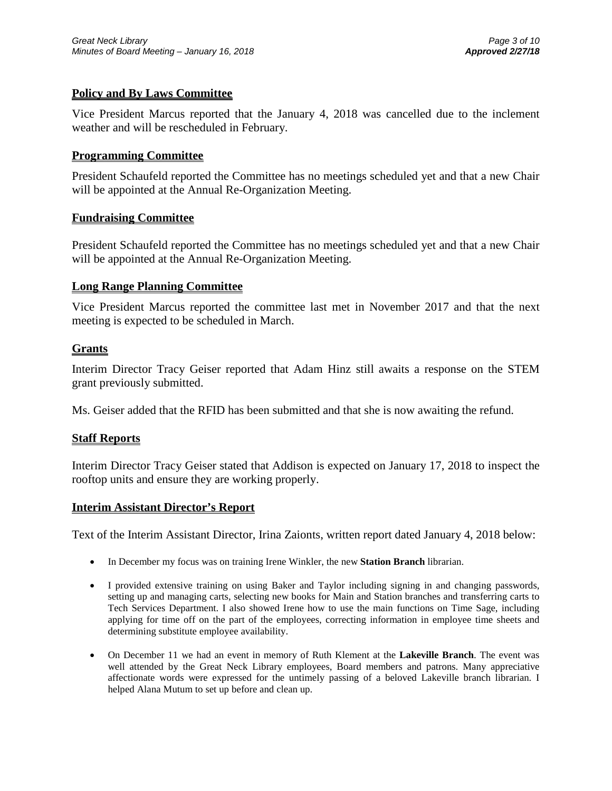## **Policy and By Laws Committee**

Vice President Marcus reported that the January 4, 2018 was cancelled due to the inclement weather and will be rescheduled in February.

#### **Programming Committee**

President Schaufeld reported the Committee has no meetings scheduled yet and that a new Chair will be appointed at the Annual Re-Organization Meeting.

#### **Fundraising Committee**

President Schaufeld reported the Committee has no meetings scheduled yet and that a new Chair will be appointed at the Annual Re-Organization Meeting.

#### **Long Range Planning Committee**

Vice President Marcus reported the committee last met in November 2017 and that the next meeting is expected to be scheduled in March.

#### **Grants**

Interim Director Tracy Geiser reported that Adam Hinz still awaits a response on the STEM grant previously submitted.

Ms. Geiser added that the RFID has been submitted and that she is now awaiting the refund.

#### **Staff Reports**

Interim Director Tracy Geiser stated that Addison is expected on January 17, 2018 to inspect the rooftop units and ensure they are working properly.

#### **Interim Assistant Director's Report**

Text of the Interim Assistant Director, Irina Zaionts, written report dated January 4, 2018 below:

- In December my focus was on training Irene Winkler, the new **Station Branch** librarian.
- I provided extensive training on using Baker and Taylor including signing in and changing passwords, setting up and managing carts, selecting new books for Main and Station branches and transferring carts to Tech Services Department. I also showed Irene how to use the main functions on Time Sage, including applying for time off on the part of the employees, correcting information in employee time sheets and determining substitute employee availability.
- On December 11 we had an event in memory of Ruth Klement at the **Lakeville Branch**. The event was well attended by the Great Neck Library employees, Board members and patrons. Many appreciative affectionate words were expressed for the untimely passing of a beloved Lakeville branch librarian. I helped Alana Mutum to set up before and clean up.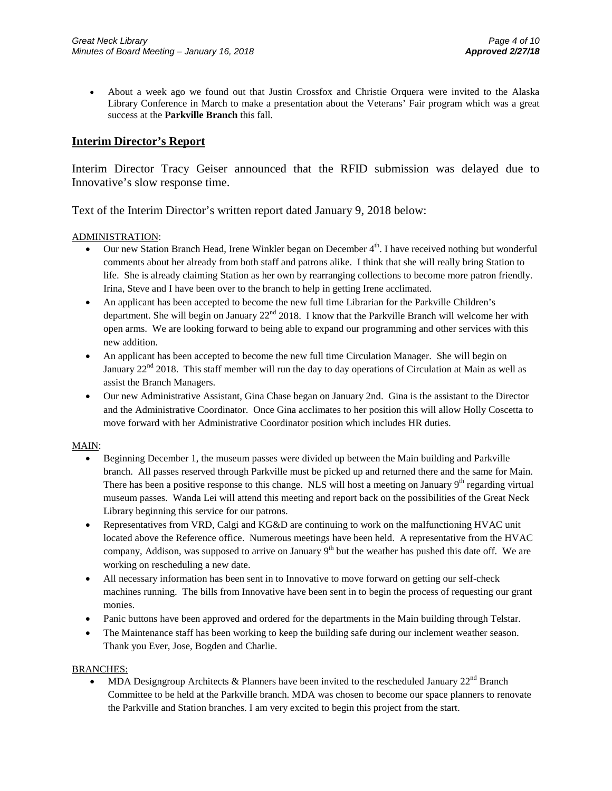• About a week ago we found out that Justin Crossfox and Christie Orquera were invited to the Alaska Library Conference in March to make a presentation about the Veterans' Fair program which was a great success at the **Parkville Branch** this fall.

#### **Interim Director's Report**

Interim Director Tracy Geiser announced that the RFID submission was delayed due to Innovative's slow response time.

Text of the Interim Director's written report dated January 9, 2018 below:

#### ADMINISTRATION:

- Our new Station Branch Head, Irene Winkler began on December  $4<sup>th</sup>$ . I have received nothing but wonderful comments about her already from both staff and patrons alike. I think that she will really bring Station to life. She is already claiming Station as her own by rearranging collections to become more patron friendly. Irina, Steve and I have been over to the branch to help in getting Irene acclimated.
- An applicant has been accepted to become the new full time Librarian for the Parkville Children's department. She will begin on January 22<sup>nd</sup> 2018. I know that the Parkville Branch will welcome her with open arms. We are looking forward to being able to expand our programming and other services with this new addition.
- An applicant has been accepted to become the new full time Circulation Manager. She will begin on January 22<sup>nd</sup> 2018. This staff member will run the day to day operations of Circulation at Main as well as assist the Branch Managers.
- Our new Administrative Assistant, Gina Chase began on January 2nd. Gina is the assistant to the Director and the Administrative Coordinator. Once Gina acclimates to her position this will allow Holly Coscetta to move forward with her Administrative Coordinator position which includes HR duties.

#### MAIN:

- Beginning December 1, the museum passes were divided up between the Main building and Parkville branch. All passes reserved through Parkville must be picked up and returned there and the same for Main. There has been a positive response to this change. NLS will host a meeting on January 9<sup>th</sup> regarding virtual museum passes. Wanda Lei will attend this meeting and report back on the possibilities of the Great Neck Library beginning this service for our patrons.
- Representatives from VRD, Calgi and KG&D are continuing to work on the malfunctioning HVAC unit located above the Reference office. Numerous meetings have been held. A representative from the HVAC company, Addison, was supposed to arrive on January  $9<sup>th</sup>$  but the weather has pushed this date off. We are working on rescheduling a new date.
- All necessary information has been sent in to Innovative to move forward on getting our self-check machines running. The bills from Innovative have been sent in to begin the process of requesting our grant monies.
- Panic buttons have been approved and ordered for the departments in the Main building through Telstar.
- The Maintenance staff has been working to keep the building safe during our inclement weather season. Thank you Ever, Jose, Bogden and Charlie.

#### BRANCHES:

MDA Designgroup Architects & Planners have been invited to the rescheduled January  $22<sup>nd</sup>$  Branch Committee to be held at the Parkville branch. MDA was chosen to become our space planners to renovate the Parkville and Station branches. I am very excited to begin this project from the start.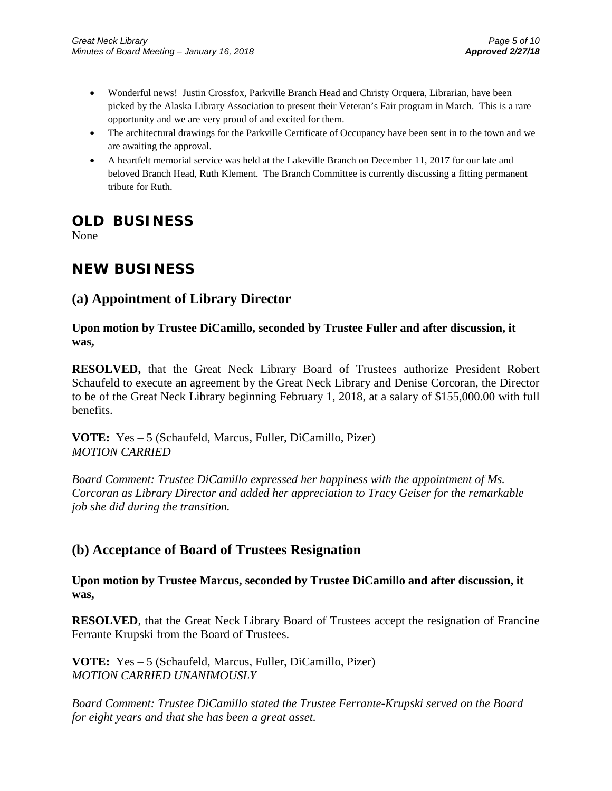- Wonderful news! Justin Crossfox, Parkville Branch Head and Christy Orquera, Librarian, have been picked by the Alaska Library Association to present their Veteran's Fair program in March. This is a rare opportunity and we are very proud of and excited for them.
- The architectural drawings for the Parkville Certificate of Occupancy have been sent in to the town and we are awaiting the approval.
- A heartfelt memorial service was held at the Lakeville Branch on December 11, 2017 for our late and beloved Branch Head, Ruth Klement. The Branch Committee is currently discussing a fitting permanent tribute for Ruth.

# **OLD BUSINESS**

None

# **NEW BUSINESS**

# **(a) Appointment of Library Director**

## **Upon motion by Trustee DiCamillo, seconded by Trustee Fuller and after discussion, it was,**

**RESOLVED,** that the Great Neck Library Board of Trustees authorize President Robert Schaufeld to execute an agreement by the Great Neck Library and Denise Corcoran, the Director to be of the Great Neck Library beginning February 1, 2018, at a salary of \$155,000.00 with full benefits.

**VOTE:** Yes – 5 (Schaufeld, Marcus, Fuller, DiCamillo, Pizer) *MOTION CARRIED* 

*Board Comment: Trustee DiCamillo expressed her happiness with the appointment of Ms. Corcoran as Library Director and added her appreciation to Tracy Geiser for the remarkable job she did during the transition.*

## **(b) Acceptance of Board of Trustees Resignation**

**Upon motion by Trustee Marcus, seconded by Trustee DiCamillo and after discussion, it was,**

**RESOLVED**, that the Great Neck Library Board of Trustees accept the resignation of Francine Ferrante Krupski from the Board of Trustees.

**VOTE:** Yes – 5 (Schaufeld, Marcus, Fuller, DiCamillo, Pizer) *MOTION CARRIED UNANIMOUSLY* 

*Board Comment: Trustee DiCamillo stated the Trustee Ferrante-Krupski served on the Board for eight years and that she has been a great asset.*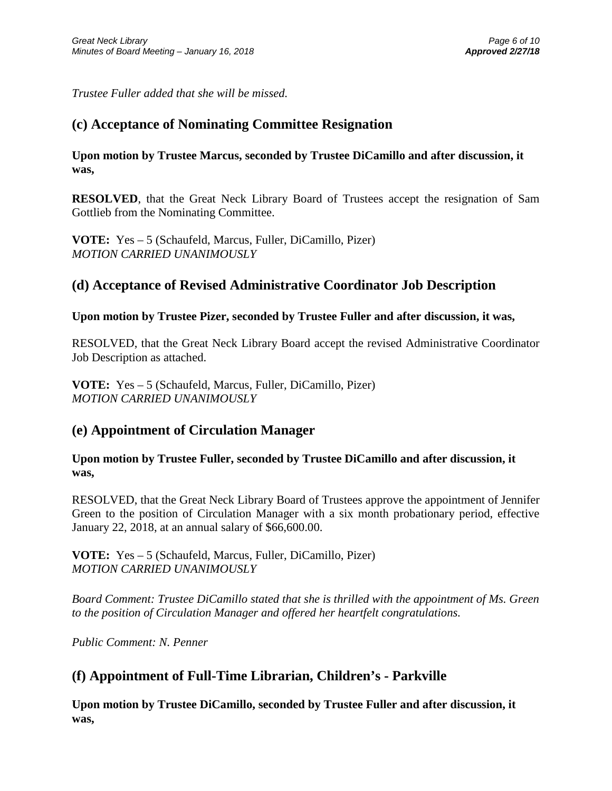*Trustee Fuller added that she will be missed.*

## **(c) Acceptance of Nominating Committee Resignation**

**Upon motion by Trustee Marcus, seconded by Trustee DiCamillo and after discussion, it was,**

**RESOLVED**, that the Great Neck Library Board of Trustees accept the resignation of Sam Gottlieb from the Nominating Committee.

**VOTE:** Yes – 5 (Schaufeld, Marcus, Fuller, DiCamillo, Pizer) *MOTION CARRIED UNANIMOUSLY* 

## **(d) Acceptance of Revised Administrative Coordinator Job Description**

## **Upon motion by Trustee Pizer, seconded by Trustee Fuller and after discussion, it was,**

RESOLVED, that the Great Neck Library Board accept the revised Administrative Coordinator Job Description as attached.

**VOTE:** Yes – 5 (Schaufeld, Marcus, Fuller, DiCamillo, Pizer) *MOTION CARRIED UNANIMOUSLY*

## **(e) Appointment of Circulation Manager**

**Upon motion by Trustee Fuller, seconded by Trustee DiCamillo and after discussion, it was,**

RESOLVED, that the Great Neck Library Board of Trustees approve the appointment of Jennifer Green to the position of Circulation Manager with a six month probationary period, effective January 22, 2018, at an annual salary of \$66,600.00.

**VOTE:** Yes – 5 (Schaufeld, Marcus, Fuller, DiCamillo, Pizer) *MOTION CARRIED UNANIMOUSLY*

*Board Comment: Trustee DiCamillo stated that she is thrilled with the appointment of Ms. Green to the position of Circulation Manager and offered her heartfelt congratulations.* 

*Public Comment: N. Penner*

## **(f) Appointment of Full-Time Librarian, Children's - Parkville**

**Upon motion by Trustee DiCamillo, seconded by Trustee Fuller and after discussion, it was,**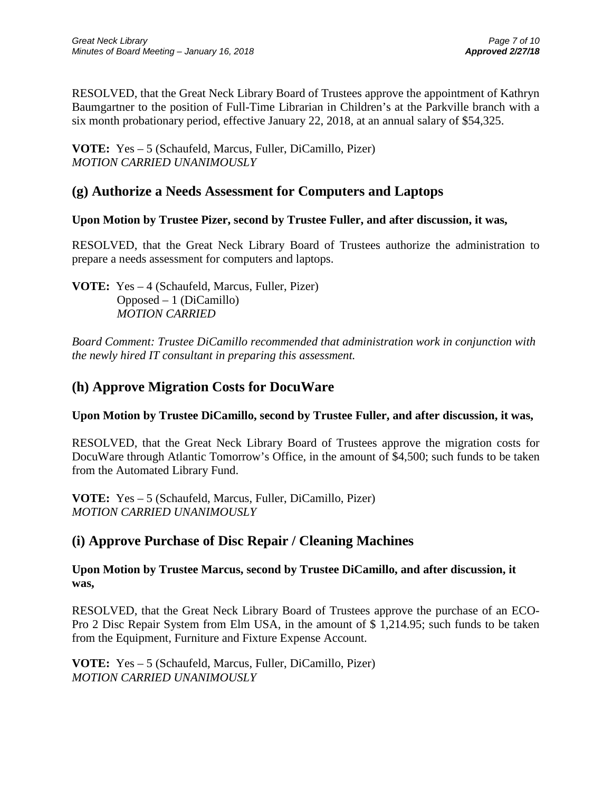RESOLVED, that the Great Neck Library Board of Trustees approve the appointment of Kathryn Baumgartner to the position of Full-Time Librarian in Children's at the Parkville branch with a six month probationary period, effective January 22, 2018, at an annual salary of \$54,325.

**VOTE:** Yes – 5 (Schaufeld, Marcus, Fuller, DiCamillo, Pizer) *MOTION CARRIED UNANIMOUSLY*

## **(g) Authorize a Needs Assessment for Computers and Laptops**

## **Upon Motion by Trustee Pizer, second by Trustee Fuller, and after discussion, it was,**

RESOLVED, that the Great Neck Library Board of Trustees authorize the administration to prepare a needs assessment for computers and laptops.

**VOTE:** Yes – 4 (Schaufeld, Marcus, Fuller, Pizer) Opposed – 1 (DiCamillo) *MOTION CARRIED*

*Board Comment: Trustee DiCamillo recommended that administration work in conjunction with the newly hired IT consultant in preparing this assessment.*

## **(h) Approve Migration Costs for DocuWare**

## **Upon Motion by Trustee DiCamillo, second by Trustee Fuller, and after discussion, it was,**

RESOLVED, that the Great Neck Library Board of Trustees approve the migration costs for DocuWare through Atlantic Tomorrow's Office, in the amount of \$4,500; such funds to be taken from the Automated Library Fund.

**VOTE:** Yes – 5 (Schaufeld, Marcus, Fuller, DiCamillo, Pizer) *MOTION CARRIED UNANIMOUSLY*

## **(i) Approve Purchase of Disc Repair / Cleaning Machines**

**Upon Motion by Trustee Marcus, second by Trustee DiCamillo, and after discussion, it was,**

RESOLVED, that the Great Neck Library Board of Trustees approve the purchase of an ECO-Pro 2 Disc Repair System from Elm USA, in the amount of \$ 1,214.95; such funds to be taken from the Equipment, Furniture and Fixture Expense Account.

**VOTE:** Yes – 5 (Schaufeld, Marcus, Fuller, DiCamillo, Pizer) *MOTION CARRIED UNANIMOUSLY*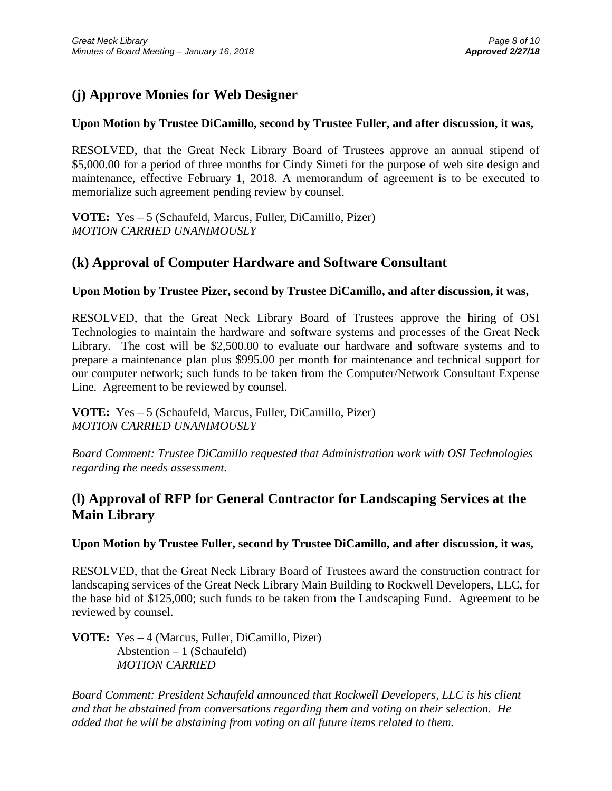# **(j) Approve Monies for Web Designer**

## **Upon Motion by Trustee DiCamillo, second by Trustee Fuller, and after discussion, it was,**

RESOLVED, that the Great Neck Library Board of Trustees approve an annual stipend of \$5,000.00 for a period of three months for Cindy Simeti for the purpose of web site design and maintenance, effective February 1, 2018. A memorandum of agreement is to be executed to memorialize such agreement pending review by counsel.

**VOTE:** Yes – 5 (Schaufeld, Marcus, Fuller, DiCamillo, Pizer) *MOTION CARRIED UNANIMOUSLY*

## **(k) Approval of Computer Hardware and Software Consultant**

#### **Upon Motion by Trustee Pizer, second by Trustee DiCamillo, and after discussion, it was,**

RESOLVED, that the Great Neck Library Board of Trustees approve the hiring of OSI Technologies to maintain the hardware and software systems and processes of the Great Neck Library. The cost will be \$2,500.00 to evaluate our hardware and software systems and to prepare a maintenance plan plus \$995.00 per month for maintenance and technical support for our computer network; such funds to be taken from the Computer/Network Consultant Expense Line. Agreement to be reviewed by counsel.

**VOTE:** Yes – 5 (Schaufeld, Marcus, Fuller, DiCamillo, Pizer) *MOTION CARRIED UNANIMOUSLY*

*Board Comment: Trustee DiCamillo requested that Administration work with OSI Technologies regarding the needs assessment.*

# **(l) Approval of RFP for General Contractor for Landscaping Services at the Main Library**

**Upon Motion by Trustee Fuller, second by Trustee DiCamillo, and after discussion, it was,**

RESOLVED, that the Great Neck Library Board of Trustees award the construction contract for landscaping services of the Great Neck Library Main Building to Rockwell Developers, LLC, for the base bid of \$125,000; such funds to be taken from the Landscaping Fund. Agreement to be reviewed by counsel.

**VOTE:** Yes – 4 (Marcus, Fuller, DiCamillo, Pizer) Abstention – 1 (Schaufeld)  *MOTION CARRIED* 

*Board Comment: President Schaufeld announced that Rockwell Developers, LLC is his client and that he abstained from conversations regarding them and voting on their selection. He added that he will be abstaining from voting on all future items related to them.*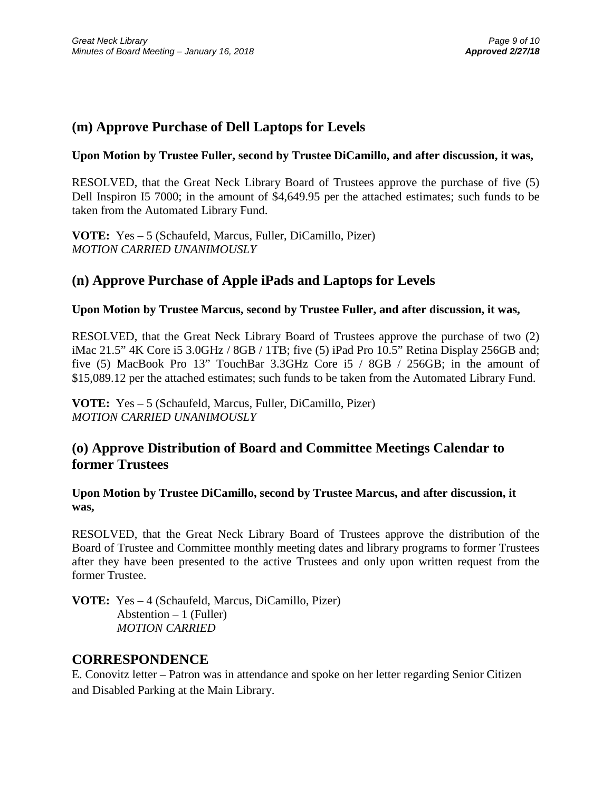## **(m) Approve Purchase of Dell Laptops for Levels**

### **Upon Motion by Trustee Fuller, second by Trustee DiCamillo, and after discussion, it was,**

RESOLVED, that the Great Neck Library Board of Trustees approve the purchase of five (5) Dell Inspiron I5 7000; in the amount of \$4,649.95 per the attached estimates; such funds to be taken from the Automated Library Fund.

**VOTE:** Yes – 5 (Schaufeld, Marcus, Fuller, DiCamillo, Pizer) *MOTION CARRIED UNANIMOUSLY*

## **(n) Approve Purchase of Apple iPads and Laptops for Levels**

## **Upon Motion by Trustee Marcus, second by Trustee Fuller, and after discussion, it was,**

RESOLVED, that the Great Neck Library Board of Trustees approve the purchase of two (2) iMac 21.5" 4K Core i5 3.0GHz / 8GB / 1TB; five (5) iPad Pro 10.5" Retina Display 256GB and; five (5) MacBook Pro 13" TouchBar 3.3GHz Core i5 / 8GB / 256GB; in the amount of \$15,089.12 per the attached estimates; such funds to be taken from the Automated Library Fund.

**VOTE:** Yes – 5 (Schaufeld, Marcus, Fuller, DiCamillo, Pizer) *MOTION CARRIED UNANIMOUSLY*

## **(o) Approve Distribution of Board and Committee Meetings Calendar to former Trustees**

**Upon Motion by Trustee DiCamillo, second by Trustee Marcus, and after discussion, it was,**

RESOLVED, that the Great Neck Library Board of Trustees approve the distribution of the Board of Trustee and Committee monthly meeting dates and library programs to former Trustees after they have been presented to the active Trustees and only upon written request from the former Trustee.

**VOTE:** Yes – 4 (Schaufeld, Marcus, DiCamillo, Pizer) Abstention  $-1$  (Fuller) *MOTION CARRIED*

## **CORRESPONDENCE**

E. Conovitz letter – Patron was in attendance and spoke on her letter regarding Senior Citizen and Disabled Parking at the Main Library.